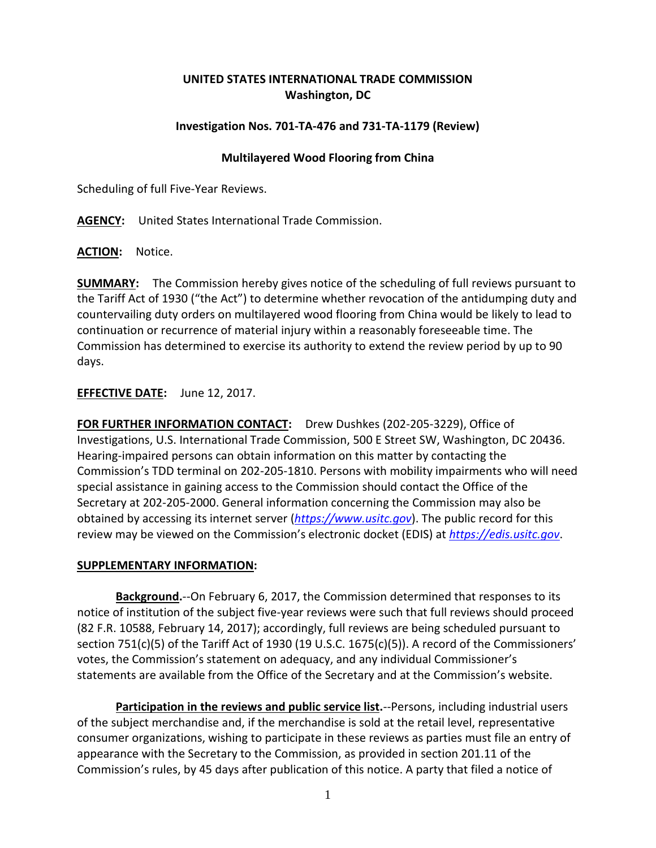# **UNITED STATES INTERNATIONAL TRADE COMMISSION Washington, DC**

## **Investigation Nos. 701-TA-476 and 731-TA-1179 (Review)**

### **Multilayered Wood Flooring from China**

Scheduling of full Five-Year Reviews.

**AGENCY:** United States International Trade Commission.

**ACTION:** Notice.

**SUMMARY:** The Commission hereby gives notice of the scheduling of full reviews pursuant to the Tariff Act of 1930 ("the Act") to determine whether revocation of the antidumping duty and countervailing duty orders on multilayered wood flooring from China would be likely to lead to continuation or recurrence of material injury within a reasonably foreseeable time. The Commission has determined to exercise its authority to extend the review period by up to 90 days.

## **EFFECTIVE DATE:** June 12, 2017.

**FOR FURTHER INFORMATION CONTACT:** Drew Dushkes (202-205-3229), Office of Investigations, U.S. International Trade Commission, 500 E Street SW, Washington, DC 20436. Hearing-impaired persons can obtain information on this matter by contacting the Commission's TDD terminal on 202-205-1810. Persons with mobility impairments who will need special assistance in gaining access to the Commission should contact the Office of the Secretary at 202-205-2000. General information concerning the Commission may also be obtained by accessing its internet server (*[https://www.usitc.gov](https://www.usitc.gov/)*). The public record for this review may be viewed on the Commission's electronic docket (EDIS) at *[https://edis.usitc.gov](https://edis.usitc.gov/)*.

### **SUPPLEMENTARY INFORMATION:**

**Background.**--On February 6, 2017, the Commission determined that responses to its notice of institution of the subject five-year reviews were such that full reviews should proceed (82 F.R. 10588, February 14, 2017); accordingly, full reviews are being scheduled pursuant to section 751(c)(5) of the Tariff Act of 1930 (19 U.S.C. 1675(c)(5)). A record of the Commissioners' votes, the Commission's statement on adequacy, and any individual Commissioner's statements are available from the Office of the Secretary and at the Commission's website.

**Participation in the reviews and public service list.**--Persons, including industrial users of the subject merchandise and, if the merchandise is sold at the retail level, representative consumer organizations, wishing to participate in these reviews as parties must file an entry of appearance with the Secretary to the Commission, as provided in section 201.11 of the Commission's rules, by 45 days after publication of this notice. A party that filed a notice of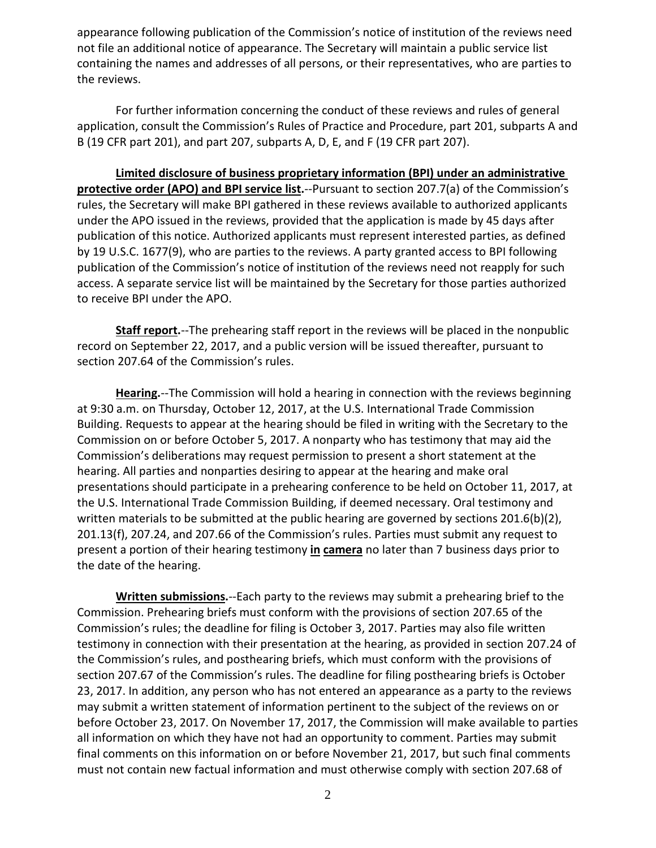appearance following publication of the Commission's notice of institution of the reviews need not file an additional notice of appearance. The Secretary will maintain a public service list containing the names and addresses of all persons, or their representatives, who are parties to the reviews.

For further information concerning the conduct of these reviews and rules of general application, consult the Commission's Rules of Practice and Procedure, part 201, subparts A and B (19 CFR part 201), and part 207, subparts A, D, E, and F (19 CFR part 207).

**Limited disclosure of business proprietary information (BPI) under an administrative protective order (APO) and BPI service list.**--Pursuant to section 207.7(a) of the Commission's rules, the Secretary will make BPI gathered in these reviews available to authorized applicants under the APO issued in the reviews, provided that the application is made by 45 days after publication of this notice. Authorized applicants must represent interested parties, as defined by 19 U.S.C. 1677(9), who are parties to the reviews. A party granted access to BPI following publication of the Commission's notice of institution of the reviews need not reapply for such access. A separate service list will be maintained by the Secretary for those parties authorized to receive BPI under the APO.

**Staff report.**--The prehearing staff report in the reviews will be placed in the nonpublic record on September 22, 2017, and a public version will be issued thereafter, pursuant to section 207.64 of the Commission's rules.

**Hearing.**--The Commission will hold a hearing in connection with the reviews beginning at 9:30 a.m. on Thursday, October 12, 2017, at the U.S. International Trade Commission Building. Requests to appear at the hearing should be filed in writing with the Secretary to the Commission on or before October 5, 2017. A nonparty who has testimony that may aid the Commission's deliberations may request permission to present a short statement at the hearing. All parties and nonparties desiring to appear at the hearing and make oral presentations should participate in a prehearing conference to be held on October 11, 2017, at the U.S. International Trade Commission Building, if deemed necessary. Oral testimony and written materials to be submitted at the public hearing are governed by sections  $201.6(b)(2)$ , 201.13(f), 207.24, and 207.66 of the Commission's rules. Parties must submit any request to present a portion of their hearing testimony **in camera** no later than 7 business days prior to the date of the hearing.

**Written submissions.**--Each party to the reviews may submit a prehearing brief to the Commission. Prehearing briefs must conform with the provisions of section 207.65 of the Commission's rules; the deadline for filing is October 3, 2017. Parties may also file written testimony in connection with their presentation at the hearing, as provided in section 207.24 of the Commission's rules, and posthearing briefs, which must conform with the provisions of section 207.67 of the Commission's rules. The deadline for filing posthearing briefs is October 23, 2017. In addition, any person who has not entered an appearance as a party to the reviews may submit a written statement of information pertinent to the subject of the reviews on or before October 23, 2017. On November 17, 2017, the Commission will make available to parties all information on which they have not had an opportunity to comment. Parties may submit final comments on this information on or before November 21, 2017, but such final comments must not contain new factual information and must otherwise comply with section 207.68 of